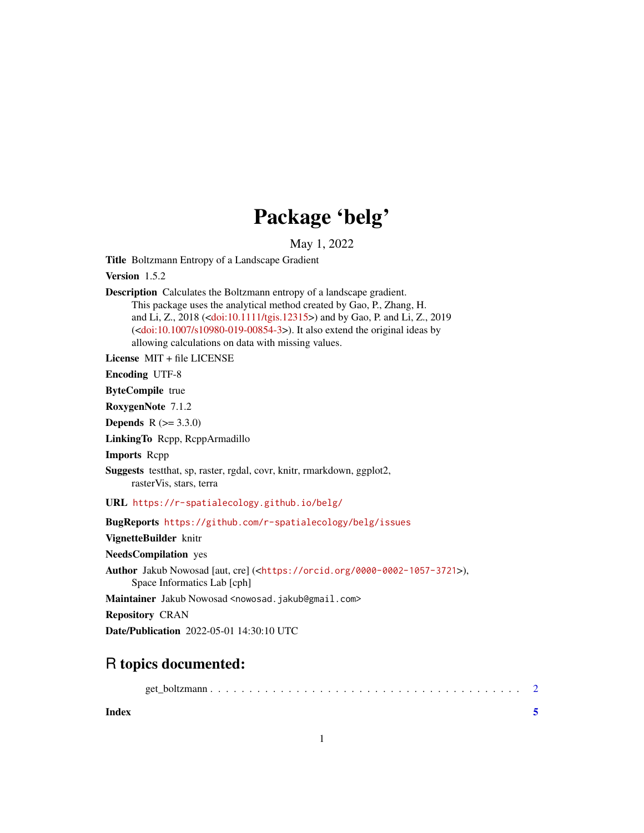## Package 'belg'

May 1, 2022

Title Boltzmann Entropy of a Landscape Gradient

Version 1.5.2

Description Calculates the Boltzmann entropy of a landscape gradient. This package uses the analytical method created by Gao, P., Zhang, H. and Li, Z., 2018 ([<doi:10.1111/tgis.12315>](https://doi.org/10.1111/tgis.12315)) and by Gao, P. and Li, Z., 2019 ([<doi:10.1007/s10980-019-00854-3>](https://doi.org/10.1007/s10980-019-00854-3)). It also extend the original ideas by allowing calculations on data with missing values.

License MIT + file LICENSE

Encoding UTF-8

ByteCompile true

RoxygenNote 7.1.2

**Depends**  $R (= 3.3.0)$ 

LinkingTo Rcpp, RcppArmadillo

Imports Rcpp

Suggests testthat, sp, raster, rgdal, covr, knitr, rmarkdown, ggplot2, rasterVis, stars, terra

URL <https://r-spatialecology.github.io/belg/>

BugReports <https://github.com/r-spatialecology/belg/issues>

VignetteBuilder knitr

NeedsCompilation yes

Author Jakub Nowosad [aut, cre] (<<https://orcid.org/0000-0002-1057-3721>>),

Space Informatics Lab [cph]

Maintainer Jakub Nowosad <nowosad.jakub@gmail.com>

Repository CRAN

Date/Publication 2022-05-01 14:30:10 UTC

### R topics documented:

|--|

**Index** [5](#page-4-0). The second state of the second state of the second state of the second state of the second state of the second state of the second state of the second state of the second state of the second state of the second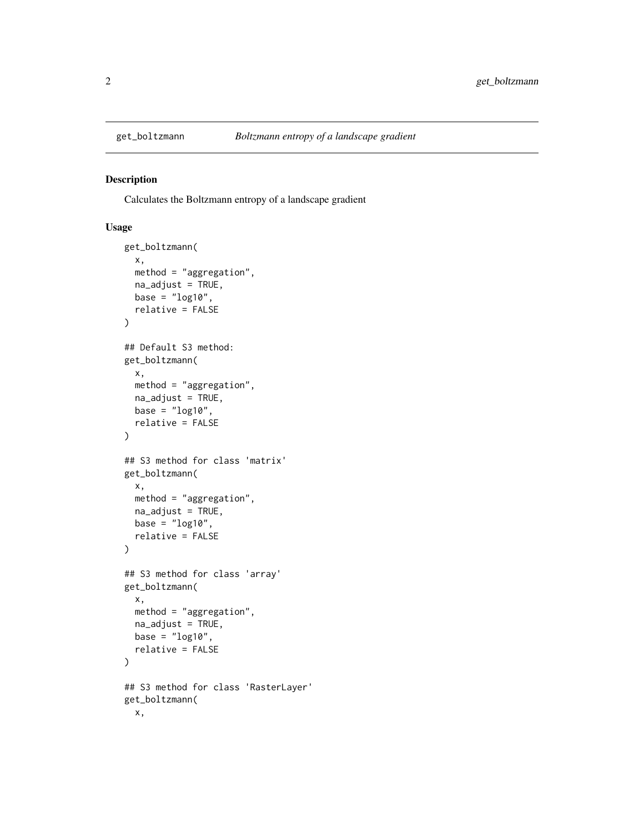<span id="page-1-0"></span>

#### Description

Calculates the Boltzmann entropy of a landscape gradient

#### Usage

```
get_boltzmann(
  x,
 method = "aggregation",
 na_adjust = TRUE,
 base = "log10",
  relative = FALSE
\lambda## Default S3 method:
get_boltzmann(
 x,
 method = "aggregation",
 na_adjust = TRUE,
 base = "log10",
  relative = FALSE
\lambda## S3 method for class 'matrix'
get_boltzmann(
  x,
 method = "aggregation",
 na_adjust = TRUE,
 base = "log10",
  relative = FALSE
)
## S3 method for class 'array'
get_boltzmann(
  x,
 method = "aggregation",
 na_adjust = TRUE,
 base = "log10",
  relative = FALSE
)
## S3 method for class 'RasterLayer'
get_boltzmann(
 x,
```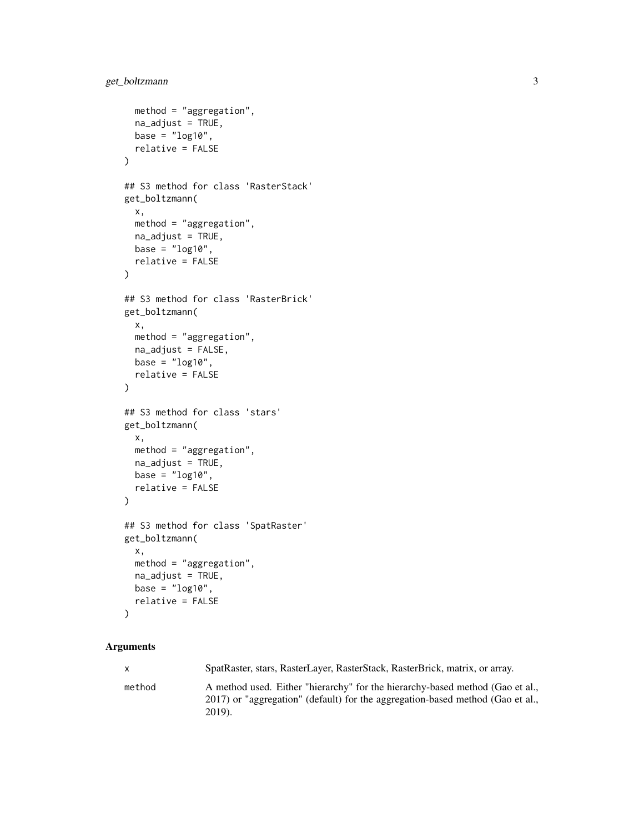```
method = "aggregation",
 na_adjust = TRUE,
 base = "log10",
 relative = FALSE
\mathcal{L}## S3 method for class 'RasterStack'
get_boltzmann(
 x,
 method = "aggregation",
 na_adjust = TRUE,
 base = "log10",
 relative = FALSE
\mathcal{L}## S3 method for class 'RasterBrick'
get_boltzmann(
 x,
 method = "aggregation",
 na_adjust = FALSE,
 base = "log10",
 relative = FALSE
\mathcal{L}## S3 method for class 'stars'
get_boltzmann(
 x,
 method = "aggregation",
 na_adjust = TRUE,
 base = "log10",
 relative = FALSE
\mathcal{L}## S3 method for class 'SpatRaster'
get_boltzmann(
 x,
 method = "aggregation",
 na_adjust = TRUE,
 base = "log10",
  relative = FALSE
\mathcal{L}
```
#### Arguments

| X      | SpatRaster, stars, RasterLayer, RasterStack, RasterBrick, matrix, or array.    |
|--------|--------------------------------------------------------------------------------|
| method | A method used. Either "hierarchy" for the hierarchy-based method (Gao et al.,  |
|        | 2017) or "aggregation" (default) for the aggregation-based method (Gao et al., |
|        | $2019$ ).                                                                      |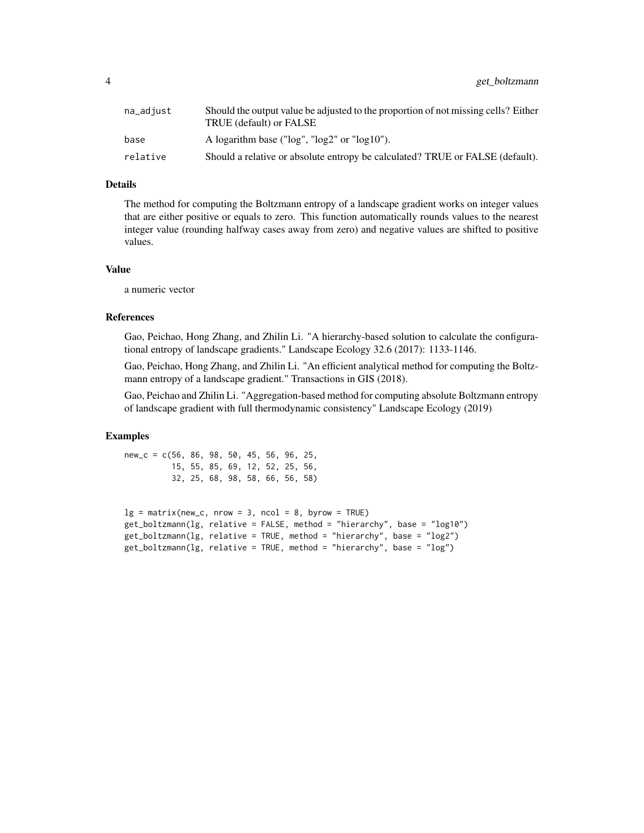| na_adjust | Should the output value be adjusted to the proportion of not missing cells? Either<br>TRUE (default) or FALSE |
|-----------|---------------------------------------------------------------------------------------------------------------|
| base      | A logarithm base (" $log$ ", " $log2$ " or " $log10$ ").                                                      |
| relative  | Should a relative or absolute entropy be calculated? TRUE or FALSE (default).                                 |

#### Details

The method for computing the Boltzmann entropy of a landscape gradient works on integer values that are either positive or equals to zero. This function automatically rounds values to the nearest integer value (rounding halfway cases away from zero) and negative values are shifted to positive values.

#### Value

a numeric vector

#### References

Gao, Peichao, Hong Zhang, and Zhilin Li. "A hierarchy-based solution to calculate the configurational entropy of landscape gradients." Landscape Ecology 32.6 (2017): 1133-1146.

Gao, Peichao, Hong Zhang, and Zhilin Li. "An efficient analytical method for computing the Boltzmann entropy of a landscape gradient." Transactions in GIS (2018).

Gao, Peichao and Zhilin Li. "Aggregation-based method for computing absolute Boltzmann entropy of landscape gradient with full thermodynamic consistency" Landscape Ecology (2019)

#### Examples

new\_c = c(56, 86, 98, 50, 45, 56, 96, 25, 15, 55, 85, 69, 12, 52, 25, 56, 32, 25, 68, 98, 58, 66, 56, 58)

```
lg = matrix(new_c, nrow = 3, ncol = 8, byrow = TRUE)get_boltzmann(lg, relative = FALSE, method = "hierarchy", base = "log10")
get_boltzmann(lg, relative = TRUE, method = "hierarchy", base = "log2")
get_boltzmann(lg, relative = TRUE, method = "hierarchy", base = "log")
```